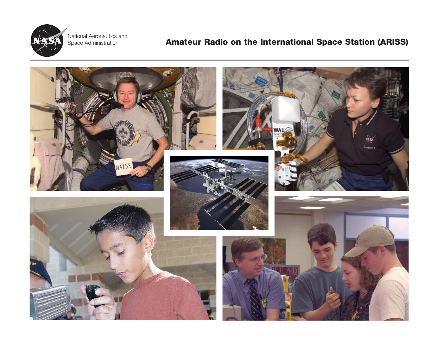

Space Administration National Aeronautics and

## **Amateur Radio on the International Space Station (ARISS)**